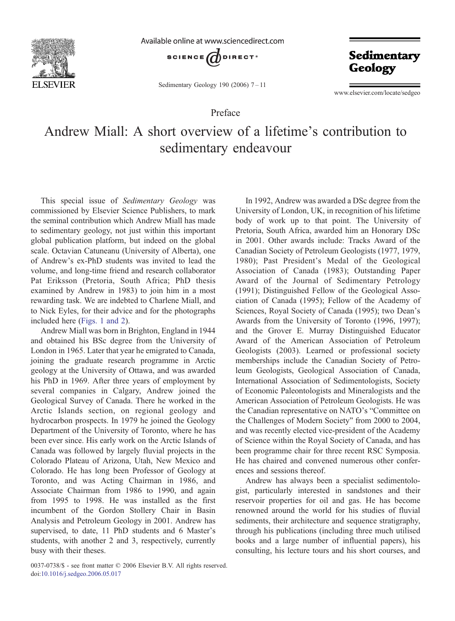

Available online at www.sciencedirect.com



Sedimentary Geology 190 (2006) 7–11

Sedimentary **Geology** 

www.elsevier.com/locate/sedgeo

## Preface

## Andrew Miall: A short overview of a lifetime's contribution to sedimentary endeavour

This special issue of Sedimentary Geology was commissioned by Elsevier Science Publishers, to mark the seminal contribution which Andrew Miall has made to sedimentary geology, not just within this important global publication platform, but indeed on the global scale. Octavian Catuneanu (University of Alberta), one of Andrew's ex-PhD students was invited to lead the volume, and long-time friend and research collaborator Pat Eriksson (Pretoria, South Africa; PhD thesis examined by Andrew in 1983) to join him in a most rewarding task. We are indebted to Charlene Miall, and to Nick Eyles, for their advice and for the photographs included here [\(Figs. 1 and 2\)](#page-1-0).

Andrew Miall was born in Brighton, England in 1944 and obtained his BSc degree from the University of London in 1965. Later that year he emigrated to Canada, joining the graduate research programme in Arctic geology at the University of Ottawa, and was awarded his PhD in 1969. After three years of employment by several companies in Calgary, Andrew joined the Geological Survey of Canada. There he worked in the Arctic Islands section, on regional geology and hydrocarbon prospects. In 1979 he joined the Geology Department of the University of Toronto, where he has been ever since. His early work on the Arctic Islands of Canada was followed by largely fluvial projects in the Colorado Plateau of Arizona, Utah, New Mexico and Colorado. He has long been Professor of Geology at Toronto, and was Acting Chairman in 1986, and Associate Chairman from 1986 to 1990, and again from 1995 to 1998. He was installed as the first incumbent of the Gordon Stollery Chair in Basin Analysis and Petroleum Geology in 2001. Andrew has supervised, to date, 11 PhD students and 6 Master's students, with another 2 and 3, respectively, currently busy with their theses.

0037-0738/\$ - see front matter © 2006 Elsevier B.V. All rights reserved. doi[:10.1016/j.sedgeo.2006.05.017](http://dx.doi.org/10.1016/j.sedgeo.2006.05.017)

In 1992, Andrew was awarded a DSc degree from the University of London, UK, in recognition of his lifetime body of work up to that point. The University of Pretoria, South Africa, awarded him an Honorary DSc in 2001. Other awards include: Tracks Award of the Canadian Society of Petroleum Geologists (1977, 1979, 1980); Past President's Medal of the Geological Association of Canada (1983); Outstanding Paper Award of the Journal of Sedimentary Petrology (1991); Distinguished Fellow of the Geological Association of Canada (1995); Fellow of the Academy of Sciences, Royal Society of Canada (1995); two Dean's Awards from the University of Toronto (1996, 1997); and the Grover E. Murray Distinguished Educator Award of the American Association of Petroleum Geologists (2003). Learned or professional society memberships include the Canadian Society of Petroleum Geologists, Geological Association of Canada, International Association of Sedimentologists, Society of Economic Paleontologists and Mineralogists and the American Association of Petroleum Geologists. He was the Canadian representative on NATO's "Committee on the Challenges of Modern Society" from 2000 to 2004, and was recently elected vice-president of the Academy of Science within the Royal Society of Canada, and has been programme chair for three recent RSC Symposia. He has chaired and convened numerous other conferences and sessions thereof.

Andrew has always been a specialist sedimentologist, particularly interested in sandstones and their reservoir properties for oil and gas. He has become renowned around the world for his studies of fluvial sediments, their architecture and sequence stratigraphy, through his publications (including three much utilised books and a large number of influential papers), his consulting, his lecture tours and his short courses, and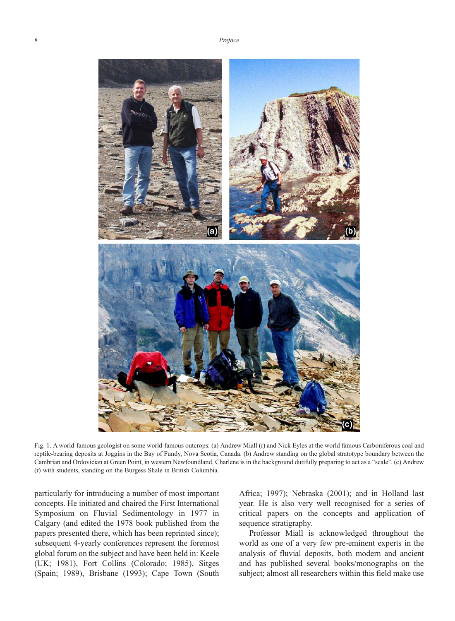<span id="page-1-0"></span>

Fig. 1. A world-famous geologist on some world-famous outcrops: (a) Andrew Miall (r) and Nick Eyles at the world famous Carboniferous coal and reptile-bearing deposits at Joggins in the Bay of Fundy, Nova Scotia, Canada. (b) Andrew standing on the global stratotype boundary between the Cambrian and Ordovician at Green Point, in western Newfoundland. Charlene is in the background dutifully preparing to act as a "scale". (c) Andrew (r) with students, standing on the Burgess Shale in British Columbia.

particularly for introducing a number of most important concepts. He initiated and chaired the First International Symposium on Fluvial Sedimentology in 1977 in Calgary (and edited the 1978 book published from the papers presented there, which has been reprinted since); subsequent 4-yearly conferences represent the foremost global forum on the subject and have been held in: Keele (UK; 1981), Fort Collins (Colorado; 1985), Sitges (Spain; 1989), Brisbane (1993); Cape Town (South

Africa; 1997); Nebraska (2001); and in Holland last year. He is also very well recognised for a series of critical papers on the concepts and application of sequence stratigraphy.

Professor Miall is acknowledged throughout the world as one of a very few pre-eminent experts in the analysis of fluvial deposits, both modern and ancient and has published several books/monographs on the subject; almost all researchers within this field make use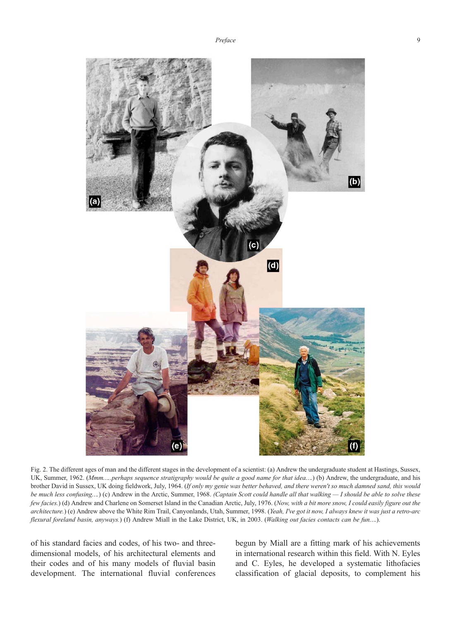

Fig. 2. The different ages of man and the different stages in the development of a scientist: (a) Andrew the undergraduate student at Hastings, Sussex, UK, Summer, 1962. (Mmm.....perhaps sequence stratigraphy would be quite a good name for that idea....) (b) Andrew, the undergraduate, and his brother David in Sussex, UK doing fieldwork, July, 1964. (If only my genie was better behaved, and there weren't so much damned sand, this would be much less confusing...) (c) Andrew in the Arctic, Summer, 1968. (Captain Scott could handle all that walking — I should be able to solve these few facies.) (d) Andrew and Charlene on Somerset Island in the Canadian Arctic, July, 1976. (Now, with a bit more snow, I could easily figure out the architecture.) (e) Andrew above the White Rim Trail, Canyonlands, Utah, Summer, 1998. (Yeah, I've got it now, I always knew it was just a retro-arc flexural foreland basin, anyways.) (f) Andrew Miall in the Lake District, UK, in 2003. (Walking out facies contacts can be fun....).

of his standard facies and codes, of his two- and threedimensional models, of his architectural elements and their codes and of his many models of fluvial basin development. The international fluvial conferences begun by Miall are a fitting mark of his achievements in international research within this field. With N. Eyles and C. Eyles, he developed a systematic lithofacies classification of glacial deposits, to complement his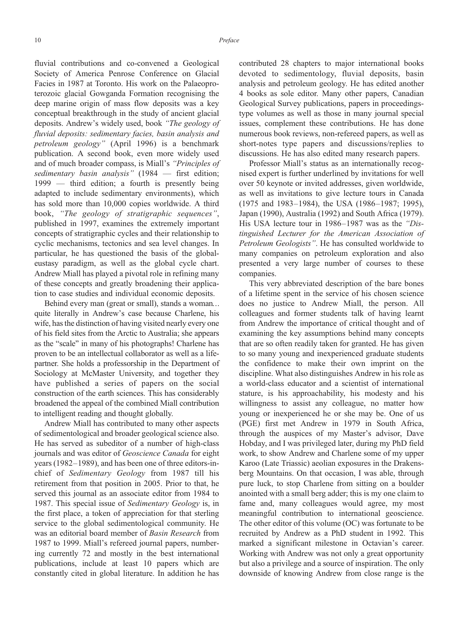fluvial contributions and co-convened a Geological Society of America Penrose Conference on Glacial Facies in 1987 at Toronto. His work on the Palaeoproterozoic glacial Gowganda Formation recognising the deep marine origin of mass flow deposits was a key conceptual breakthrough in the study of ancient glacial deposits. Andrew's widely used, book "The geology of fluvial deposits: sedimentary facies, basin analysis and petroleum geology" (April 1996) is a benchmark publication. A second book, even more widely used and of much broader compass, is Miall's "Principles of sedimentary basin analysis" (1984 - first edition; 1999 — third edition; a fourth is presently being adapted to include sedimentary environments), which has sold more than 10,000 copies worldwide. A third book, "The geology of stratigraphic sequences", published in 1997, examines the extremely important concepts of stratigraphic cycles and their relationship to cyclic mechanisms, tectonics and sea level changes. In particular, he has questioned the basis of the globaleustasy paradigm, as well as the global cycle chart. Andrew Miall has played a pivotal role in refining many of these concepts and greatly broadening their application to case studies and individual economic deposits.

Behind every man (great or small), stands a woman… quite literally in Andrew's case because Charlene, his wife, has the distinction of having visited nearly every one of his field sites from the Arctic to Australia; she appears as the "scale" in many of his photographs! Charlene has proven to be an intellectual collaborator as well as a lifepartner. She holds a professorship in the Department of Sociology at McMaster University, and together they have published a series of papers on the social construction of the earth sciences. This has considerably broadened the appeal of the combined Miall contribution to intelligent reading and thought globally.

Andrew Miall has contributed to many other aspects of sedimentological and broader geological science also. He has served as subeditor of a number of high-class journals and was editor of Geoscience Canada for eight years (1982–1989), and has been one of three editors-inchief of Sedimentary Geology from 1987 till his retirement from that position in 2005. Prior to that, he served this journal as an associate editor from 1984 to 1987. This special issue of Sedimentary Geology is, in the first place, a token of appreciation for that sterling service to the global sedimentological community. He was an editorial board member of Basin Research from 1987 to 1999. Miall's refereed journal papers, numbering currently 72 and mostly in the best international publications, include at least 10 papers which are constantly cited in global literature. In addition he has

contributed 28 chapters to major international books devoted to sedimentology, fluvial deposits, basin analysis and petroleum geology. He has edited another 4 books as sole editor. Many other papers, Canadian Geological Survey publications, papers in proceedingstype volumes as well as those in many journal special issues, complement these contributions. He has done numerous book reviews, non-refereed papers, as well as short-notes type papers and discussions/replies to discussions. He has also edited many research papers.

Professor Miall's status as an internationally recognised expert is further underlined by invitations for well over 50 keynote or invited addresses, given worldwide, as well as invitations to give lecture tours in Canada (1975 and 1983–1984), the USA (1986–1987; 1995), Japan (1990), Australia (1992) and South Africa (1979). His USA lecture tour in 1986–1987 was as the "Distinguished Lecturer for the American Association of Petroleum Geologists". He has consulted worldwide to many companies on petroleum exploration and also presented a very large number of courses to these companies.

This very abbreviated description of the bare bones of a lifetime spent in the service of his chosen science does no justice to Andrew Miall, the person. All colleagues and former students talk of having learnt from Andrew the importance of critical thought and of examining the key assumptions behind many concepts that are so often readily taken for granted. He has given to so many young and inexperienced graduate students the confidence to make their own imprint on the discipline. What also distinguishes Andrew in his role as a world-class educator and a scientist of international stature, is his approachability, his modesty and his willingness to assist any colleague, no matter how young or inexperienced he or she may be. One of us (PGE) first met Andrew in 1979 in South Africa, through the auspices of my Master's advisor, Dave Hobday, and I was privileged later, during my PhD field work, to show Andrew and Charlene some of my upper Karoo (Late Triassic) aeolian exposures in the Drakensberg Mountains. On that occasion, I was able, through pure luck, to stop Charlene from sitting on a boulder anointed with a small berg adder; this is my one claim to fame and, many colleagues would agree, my most meaningful contribution to international geoscience. The other editor of this volume (OC) was fortunate to be recruited by Andrew as a PhD student in 1992. This marked a significant milestone in Octavian's career. Working with Andrew was not only a great opportunity but also a privilege and a source of inspiration. The only downside of knowing Andrew from close range is the